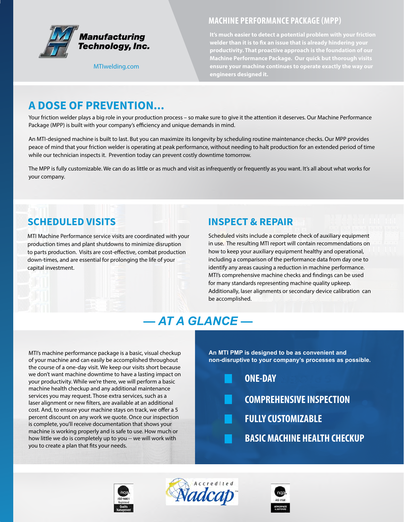

[MTIwelding.com](http://www.mtiwelding.com/maintenance-programs)

#### **MACHINE PERFORMANCE PACKAGE (MPP)**

**It's much easier to detect a potential problem with your friction welder than it is to fix an issue that is already hindering your productivity. That proactive approach is the foundation of our Machine Performance Package. Our quick but thorough visits ensure your machine continues to operate exactly the way our engineers designed it.**

## **A DOSE OF PREVENTION...**

Your friction welder plays a big role in your production process – so make sure to give it the attention it deserves. Our Machine Performance Package (MPP) is built with your company's efficiency and unique demands in mind.

An MTI-designed machine is built to last. But you can maximize its longevity by scheduling routine maintenance checks. Our MPP provides peace of mind that your friction welder is operating at peak performance, without needing to halt production for an extended period of time while our technician inspects it. Prevention today can prevent costly downtime tomorrow.

The MPP is fully customizable. We can do as little or as much and visit as infrequently or frequently as you want. It's all about what works for your company.

### **SCHEDULED VISITS**

MTI Machine Performance service visits are coordinated with your production times and plant shutdowns to minimize disruption to parts production. Visits are cost-effective, combat production down-times, and are essential for prolonging the life of your capital investment.

#### **INSPECT & REPAIR**

Scheduled visits include a complete check of auxiliary equipment in use. The resulting MTI report will contain recommendations on how to keep your auxiliary equipment healthy and operational, including a comparison of the performance data from day one to identify any areas causing a reduction in machine performance. MTI's comprehensive machine checks and findings can be used for many standards representing machine quality upkeep. Additionally, laser alignments or secondary device calibration can be accomplished.

# **AT A GLANCE —**

MTI's machine performance package is a basic, visual checkup of your machine and can easily be accomplished throughout the course of a one-day visit. We keep our visits short because we don't want machine downtime to have a lasting impact on your productivity. While we're there, we will perform a basic machine health checkup and any additional maintenance services you may request. Those extra services, such as a laser alignment or new filters, are available at an additional cost. And, to ensure your machine stays on track, we offer a 5 percent discount on any work we quote. Once our inspection is complete, you'll receive documentation that shows your machine is working properly and is safe to use. How much or how little we do is completely up to you -- we will work with you to create a plan that fits your needs.

**An MTI PMP is designed to be as convenient and non-disruptive to your company's processes as possible.** 

| <b>NONE-DAY</b>                     |
|-------------------------------------|
| <b>COMPREHENSIVE INSPECTION</b>     |
| <b>Example 2 FULLY CUSTOMIZABLE</b> |
| <b>BASIC MACHINE HEALTH CHECKUP</b> |





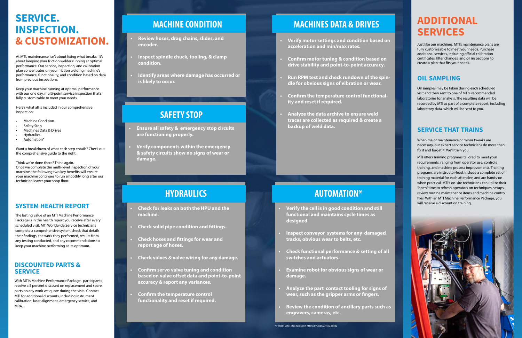# **SERVICE. INSPECTION. & CUSTOMIZATION.**

At MTI, maintenance isn't about fixing what breaks. It's about keeping your friction welder running at optimal performance. Our service, inspection, and calibration plan concentrates on your friction welding machine's performance, functionality, and condition based on data from previous inspections.

Keep your machine running at optimal performance with our one day, multi-point service inspection that's fully customizable to meet your needs.

# **MACHINES DATA & DRIVES ADDITIONAL SERVICES**

Here's what all is included in our comprehensive inspection:

- Machine Condition
- Safety Stop
- Machines Data & Drives
- **Hydraulics**
- Automation\*

Want a breakdown of what each step entails? Check out the comprehensive guide to the right.

Think we're done there? Think again. Once we complete the multi-level inspection of your machine, the following two key benefits will ensure your machine continues to run smoothly long after our technician leaves your shop floor.

#### **DISCOUNTED PARTS & SERVICE**

With MTI's Machine Performance Package, participants receive a 5 percent discount on replacement and spare parts on any work we quote during the visit. Contact MTI for additional discounts, including instrument calibration, laser alignment, emergency service, and MRA.

# **SERVICE THAT TRAINS**

When major maintenance or minor tweaks are necessary, our expert service technicians do more than fix it and forget it. We'll train you.

MTI offers training programs tailored to meet your requirements, ranging from operator use, controls training, and machine process improvements. Training programs are instructor-lead, include a complete set of training material for each attendee, and are hands-on when practical. MTI's on-site technicians can utilize their "open" time to refresh operators on techniques, setups, review routine maintenance items and machine control files. With an MTI Machine Performance Package, you will receive a discount on training.



The lasting value of an MTI Machine Performance Package is in the health report you receive after every scheduled visit. MTI Worldwide Service technicians complete a comprehensive system check that details their findings, the work they performed, results from any testing conducted, and any recommendations to keep your machine performing at its optimum.

#### **SYSTEM HEALTH REPORT**

Just like our machines, MTI's maintenance plans are fully customizable to meet your needs. Purchase additional services, including official calibration certificates, filter changes, and oil inspections to create a plan that fits your needs.

# **SAFETY STOP**

- **• Ensure all safety & emergency stop circuits are functioning properly.**
- **• Verify components within the emergency & safety circuits show no signs of wear or damage.**

# **MACHINE CONDITION**

- **• Review hoses, drag chains, slides, and encoder.**
- **• Inspect spindle chuck, tooling, & clamp condition.**
- **• Identify areas where damage has occurred or is likely to occur.**

# **HYDRAULICS**

- **• Check for leaks on both the HPU and the machine.**
- **• Check solid pipe condition and fittings.**
- **• Check hoses and fittings for wear and report age of hoses.**
- **• Check valves & valve wiring for any damage.**
- **• Confirm servo valve tuning and condition based on valve offset data and point-to-point accuracy & report any variances.**
- **• Confirm the temperature control functionality and reset if required.**

- **• Verify motor settings and condition based on acceleration and min/max rates.**
- **• Confirm motor tuning & condition based on drive stability and point-to-point accuracy.**
- **• Run RPM test and check rundown of the spindle for obvious signs of vibration or wear.**
- **• Confirm the temperature control functionality and reset if required.**
- **• Analyze the data archive to ensure weld traces are collected as required & create a backup of weld data.**

### **OIL SAMPLING**

Oil samples may be taken during each scheduled visit and then sent to one of MTI's recommended laboratories for analysis. The resulting data will be recorded by MTI as part of a complete report, including laboratory data, which will be sent to you.

# **AUTOMATION\***

- **• Verify the cell is in good condition and still functional and maintains cycle times as designed.**
- **• Inspect conveyor systems for any damaged tracks, obvious wear to belts, etc.**
- **• Check functional performance & setting of all switches and actuators.**
- **• Examine robot for obvious signs of wear or damage.**
- **• Analyze the part contact tooling for signs of wear, such as the gripper arms or fingers.**
- **• Review the condition of ancillary parts such as engravers, cameras, etc.**